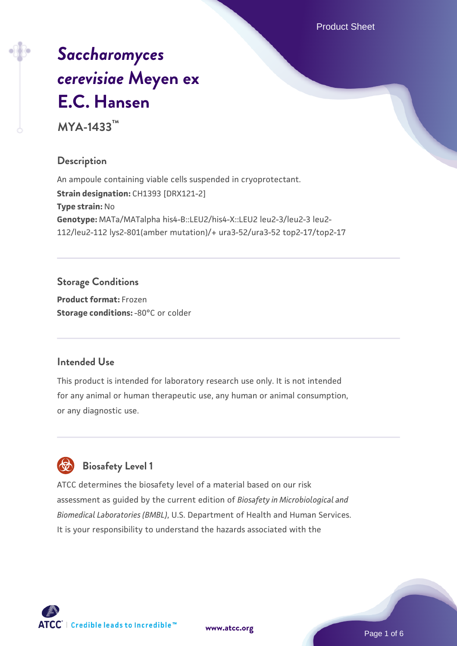Product Sheet

# *[Saccharomyces](https://www.atcc.org/products/mya-1433) [cerevisiae](https://www.atcc.org/products/mya-1433)* **[Meyen ex](https://www.atcc.org/products/mya-1433) [E.C. Hansen](https://www.atcc.org/products/mya-1433)**

**MYA-1433™**

# **Description**

An ampoule containing viable cells suspended in cryoprotectant. **Strain designation:** CH1393 [DRX121-2] **Type strain:** No **Genotype:** MATa/MATalpha his4-B::LEU2/his4-X::LEU2 leu2-3/leu2-3 leu2- 112/leu2-112 lys2-801(amber mutation)/+ ura3-52/ura3-52 top2-17/top2-17

# **Storage Conditions**

**Product format:** Frozen **Storage conditions: -80°C or colder** 

# **Intended Use**

This product is intended for laboratory research use only. It is not intended for any animal or human therapeutic use, any human or animal consumption, or any diagnostic use.

# **Biosafety Level 1**

ATCC determines the biosafety level of a material based on our risk assessment as guided by the current edition of *Biosafety in Microbiological and Biomedical Laboratories (BMBL)*, U.S. Department of Health and Human Services. It is your responsibility to understand the hazards associated with the

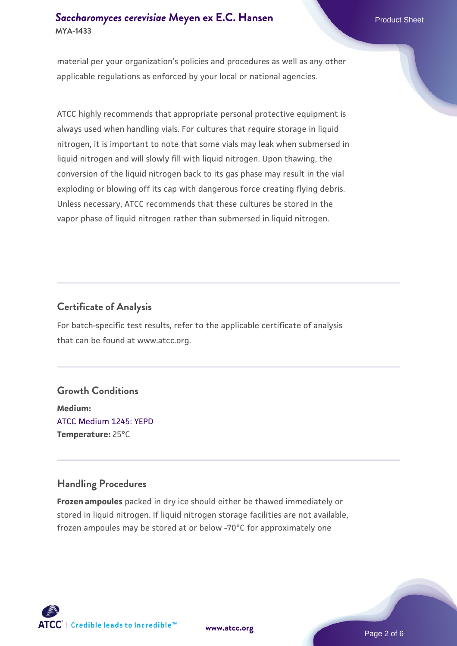### **[Saccharomyces cerevisiae](https://www.atcc.org/products/mya-1433)** [Meyen ex E.C. Hansen](https://www.atcc.org/products/mya-1433) **MYA-1433**

material per your organization's policies and procedures as well as any other applicable regulations as enforced by your local or national agencies.

ATCC highly recommends that appropriate personal protective equipment is always used when handling vials. For cultures that require storage in liquid nitrogen, it is important to note that some vials may leak when submersed in liquid nitrogen and will slowly fill with liquid nitrogen. Upon thawing, the conversion of the liquid nitrogen back to its gas phase may result in the vial exploding or blowing off its cap with dangerous force creating flying debris. Unless necessary, ATCC recommends that these cultures be stored in the vapor phase of liquid nitrogen rather than submersed in liquid nitrogen.

# **Certificate of Analysis**

For batch-specific test results, refer to the applicable certificate of analysis that can be found at www.atcc.org.

# **Growth Conditions**

**Medium:**  [ATCC Medium 1245: YEPD](https://www.atcc.org/-/media/product-assets/documents/microbial-media-formulations/1/2/4/5/atcc-medium-1245.pdf?rev=705ca55d1b6f490a808a965d5c072196) **Temperature:** 25°C

# **Handling Procedures**

**Frozen ampoules** packed in dry ice should either be thawed immediately or stored in liquid nitrogen. If liquid nitrogen storage facilities are not available, frozen ampoules may be stored at or below -70°C for approximately one



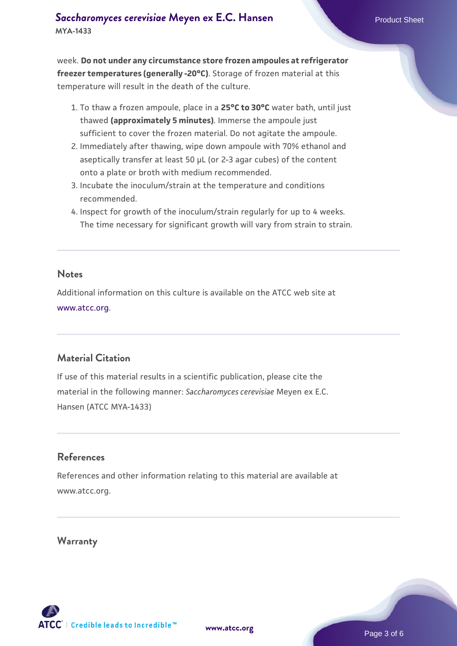week. **Do not under any circumstance store frozen ampoules at refrigerator freezer temperatures (generally -20°C)**. Storage of frozen material at this temperature will result in the death of the culture.

- 1. To thaw a frozen ampoule, place in a **25°C to 30°C** water bath, until just thawed **(approximately 5 minutes)**. Immerse the ampoule just sufficient to cover the frozen material. Do not agitate the ampoule.
- 2. Immediately after thawing, wipe down ampoule with 70% ethanol and aseptically transfer at least 50 µL (or 2-3 agar cubes) of the content onto a plate or broth with medium recommended.
- Incubate the inoculum/strain at the temperature and conditions 3. recommended.
- 4. Inspect for growth of the inoculum/strain regularly for up to 4 weeks. The time necessary for significant growth will vary from strain to strain.

#### **Notes**

Additional information on this culture is available on the ATCC web site at [www.atcc.org.](http://www.atcc.org/)

#### **Material Citation**

If use of this material results in a scientific publication, please cite the material in the following manner: *Saccharomyces cerevisiae* Meyen ex E.C. Hansen (ATCC MYA-1433)

#### **References**

References and other information relating to this material are available at www.atcc.org.

#### **Warranty**

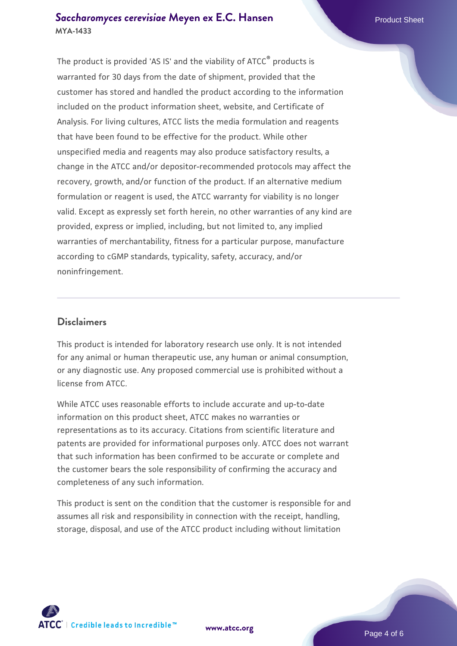#### **[Saccharomyces cerevisiae](https://www.atcc.org/products/mya-1433)** [Meyen ex E.C. Hansen](https://www.atcc.org/products/mya-1433) **MYA-1433**

The product is provided 'AS IS' and the viability of ATCC® products is warranted for 30 days from the date of shipment, provided that the customer has stored and handled the product according to the information included on the product information sheet, website, and Certificate of Analysis. For living cultures, ATCC lists the media formulation and reagents that have been found to be effective for the product. While other unspecified media and reagents may also produce satisfactory results, a change in the ATCC and/or depositor-recommended protocols may affect the recovery, growth, and/or function of the product. If an alternative medium formulation or reagent is used, the ATCC warranty for viability is no longer valid. Except as expressly set forth herein, no other warranties of any kind are provided, express or implied, including, but not limited to, any implied warranties of merchantability, fitness for a particular purpose, manufacture according to cGMP standards, typicality, safety, accuracy, and/or noninfringement.

#### **Disclaimers**

This product is intended for laboratory research use only. It is not intended for any animal or human therapeutic use, any human or animal consumption, or any diagnostic use. Any proposed commercial use is prohibited without a license from ATCC.

While ATCC uses reasonable efforts to include accurate and up-to-date information on this product sheet, ATCC makes no warranties or representations as to its accuracy. Citations from scientific literature and patents are provided for informational purposes only. ATCC does not warrant that such information has been confirmed to be accurate or complete and the customer bears the sole responsibility of confirming the accuracy and completeness of any such information.

This product is sent on the condition that the customer is responsible for and assumes all risk and responsibility in connection with the receipt, handling, storage, disposal, and use of the ATCC product including without limitation



**[www.atcc.org](http://www.atcc.org)**

Page 4 of 6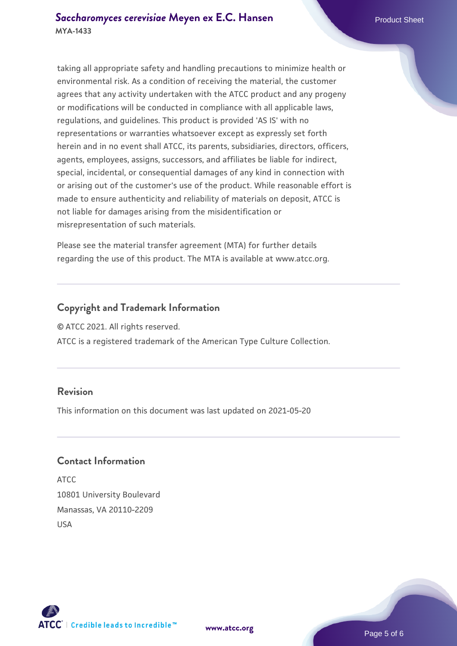taking all appropriate safety and handling precautions to minimize health or environmental risk. As a condition of receiving the material, the customer agrees that any activity undertaken with the ATCC product and any progeny or modifications will be conducted in compliance with all applicable laws, regulations, and guidelines. This product is provided 'AS IS' with no representations or warranties whatsoever except as expressly set forth herein and in no event shall ATCC, its parents, subsidiaries, directors, officers, agents, employees, assigns, successors, and affiliates be liable for indirect, special, incidental, or consequential damages of any kind in connection with or arising out of the customer's use of the product. While reasonable effort is made to ensure authenticity and reliability of materials on deposit, ATCC is not liable for damages arising from the misidentification or misrepresentation of such materials.

Please see the material transfer agreement (MTA) for further details regarding the use of this product. The MTA is available at www.atcc.org.

#### **Copyright and Trademark Information**

© ATCC 2021. All rights reserved.

ATCC is a registered trademark of the American Type Culture Collection.

#### **Revision**

This information on this document was last updated on 2021-05-20

#### **Contact Information**

ATCC 10801 University Boulevard Manassas, VA 20110-2209 USA